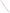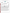## **THE ENVIRONMENTAL TECHNOLOGY VERIFICATION**







# **ETV Joint Verification Statement**

|                                | TECHNOLOGY TYPE: CONTINUOUS EMISSION MONITOR                                                                   |  |  |
|--------------------------------|----------------------------------------------------------------------------------------------------------------|--|--|
| <b>APPLICATION:</b>            | <b>MEASURING MERCURY EMISSIONS</b>                                                                             |  |  |
| <b>TECHNOLOGY NAME: Hg-200</b> |                                                                                                                |  |  |
| <b>COMPANY:</b>                | <b>Opsis AB</b>                                                                                                |  |  |
| <b>ADDRESS:</b>                | Box 244, SE-244 02<br>PHONE: +46 46 72 25 00, 73 85 10                                                         |  |  |
| <b>WEB SITE:</b>               | <b>Furulund Sweden</b><br>+46 46 72 25 01, 73 83 70<br><b>FAX:</b><br>www.environmental-center.com/technology/ |  |  |
| E-MAIL:                        | opsis/opsis.htm<br>carl.kamme@opsis.se                                                                         |  |  |

The U.S. Environmental Protection Agency (EPA) supports the Environmental Technology Verification (ETV) Program to facilitate the deployment of innovative or improved environmental technologies through performance verification and dissemination of information. The goal of the ETV Program is to further environmental protection by accelerating the acceptance and use of improved and cost-effective technologies. ETV seeks to achieve this goal by providing high-quality, peer-reviewed data on technology performance to those involved in the design, distribution, financing, permitting, purchase, and use of environmental technologies.

ETV works in partnership with recognized standards and testing organizations, with stakeholder groups (consisting of buyers, vendor organizations, and permitters), and with individual technology developers. The program evaluates the performance of innovative technologies by developing test plans that are responsive to the needs of stakeholders, conducting field or laboratory tests (as appropriate), collecting and analyzing data, and preparing peer-reviewed reports. All evaluations are conducted in accordance with rigorous quality assurance (QA) protocols to ensure that data of known and adequate quality are generated and that the results are defensible.

The Advanced Monitoring Systems (AMS) Center, one of seven technology areas under ETV, is operated by Battelle in cooperation with EPA's National Exposure Research Laboratory. The AMS Center has recently evaluated the performance of continuous emission monitors (CEMs) used to measure mercury emissions. This verification statement provides a summary of the test results for the Opsis AB Hg-200 CEM.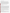### **VERIFICATION TEST DESCRIPTION**

The purpose of this verification test was to evaluate the performance of mercury CEMs at a full-scale field location, over a substantial duration of continuous operation. The CEMs were challenged by stack gases generated from the thermal treatment of a variety of actual wastes in the Toxic Substances Control Act Incinerator (TSCAI) at the East Tennessee Technology Park in Oak Ridge, Tennessee. CEM responses were compared with reference mercury measurements of total  $(Hg_T)$ , oxidized  $(Hg_{OX})$ , and elemental  $(Hg^{\circ})$  mercury. Mercury standard gases were used to challenge the CEMs to assess stability in long-term operation, and the instruments were operated for several weeks by TSCAI staff to assess operational aspects of their use. The reference method for establishing the quantitative performance of the tested technologies was the Ontario Hydro (OH) method. For the Hg-200, relative accuracy (RA), correlation with the reference method, and precision (i.e., repeatability at stable test conditions) were assessed for total mercury in the stack gas emissions. Sampling system bias, calibration and zero drift, and response time were assessed for Hg° only, using commercial compressed gas standards of Hg°. The data completeness, reliability, and maintainability of the Hg-200 over the course of the verification test were assessed during several weeks of continuous operation.

QA oversight of verification testing was provided by Battelle. Battelle QA staff conducted a technical systems audit, a performance evaluation audit, and a data quality audit of 10% of the test data.

#### **TECHNOLOGY DESCRIPTION**

The following description of the Hg-200 was provided by the vendor and does not represent verified information.

The Hg-200 includes a dilution extraction sampling system that provides a stack sample to the mercury analyzer. The dilution system includes a dilution probe and a pump. Four ¼-inch Teflon lines and a power cable connect the probe to the CEM. One Teflon line carries dilution air to the dilution probe on the stack, another sends diluted sample from the dilution probe back to the analyzer, the third sends calibration gas from the analyzer location to the probe, and the fourth is a vacuum sensor line for verifying system operation. The sample is pulled from the stack through a 1-inch pipe insert extending from the dilution probe to the middle of the stack. The probe mounts on a standard 4-inch port. The dilution block of the probe, which includes the filters, is heated to 200°C (392°F). An internal dilution system consisting of two critical orifices mixes sample and dilution air to achieve a sample dilution of 1:100. This diluted sample is pulled by the pump down the sample line to the analyzer. Because the sample is diluted by a factor of 100, the potential for condensation in the sample line is low. Total flow in the sample line is two liters per minute. When  $Hg_T$  is analyzed, the sample passes through a thermocatalytic converter that forms Hg<sup>o</sup> from any Hg<sub>OX</sub> compounds in the sample gas. The converter includes a quartz element heated to 350°C (662 °F). This function can be cycled on and off so that  $Hg_T$  and  $Hg<sup>o</sup>$  can be differentiated. The cycle time is normally five minutes. (In this verification test the Hg-200 was used only in the  $Hg<sub>T</sub>$  mode.)

The analyzer is a double-beam photometer that preconcentrates Hg<sup>o</sup> on a gold trap. A personal computer data logger is connected to the Hg-200 through a serial RS232 line. The system cycles and measurement times are controlled by Windows software, which provides primary data storage before the results are exported to a data acquisition computer. Windows software also sets up the sequences that switch between measuring  $Hg^{\circ}$  and  $Hg_T$ . The 115-volt system is 91.4 cm (36 inches) high, 76.2 cm (30 inches) wide, and 80.0 cm (32 inches) deep.

## **VERIFICATION OF PERFORMANCE**

**Relative Accuracy:** To verify the RA of the Hg-200 for measuring total mercury, results were compared for 18 OH reference method sampling runs using dual trains at  $Hg_T$  levels from <1 to 200 micrograms per dry standard cubic meter of flue gas. The Hg-200 showed an RA for  $Hg_T$  of 76.3% overall. The RA was 63.1% with OH Run 16 excluded. (In OH Run 16 the TSCAI burned packets of solid waste at relatively high mercury content, with no liquid waste. The flue gas mercury content in that run was likely highly variable and, therefore, difficult to determine accurately with a batch analyzer such as the Hg-200.)